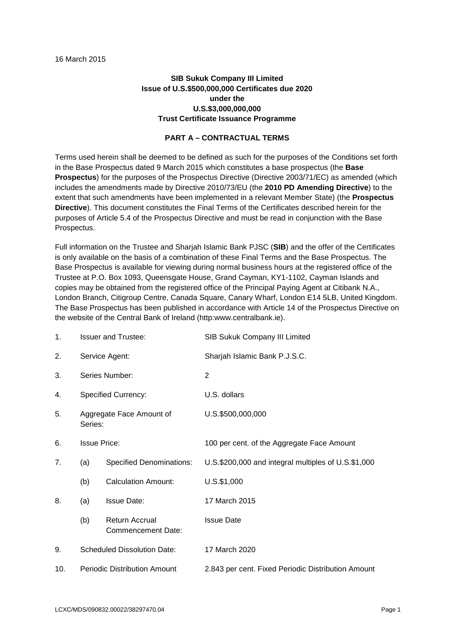# **SIB Sukuk Company III Limited Issue of U.S.\$500,000,000 Certificates due 2020 under the U.S.\$3,000,000,000 Trust Certificate Issuance Programme**

## **PART A – CONTRACTUAL TERMS**

Terms used herein shall be deemed to be defined as such for the purposes of the Conditions set forth in the Base Prospectus dated 9 March 2015 which constitutes a base prospectus (the **Base Prospectus**) for the purposes of the Prospectus Directive (Directive 2003/71/EC) as amended (which includes the amendments made by Directive 2010/73/EU (the **2010 PD Amending Directive**) to the extent that such amendments have been implemented in a relevant Member State) (the **Prospectus Directive**). This document constitutes the Final Terms of the Certificates described herein for the purposes of Article 5.4 of the Prospectus Directive and must be read in conjunction with the Base Prospectus.

Full information on the Trustee and Sharjah Islamic Bank PJSC (**SIB**) and the offer of the Certificates is only available on the basis of a combination of these Final Terms and the Base Prospectus. The Base Prospectus is available for viewing during normal business hours at the registered office of the Trustee at P.O. Box 1093, Queensgate House, Grand Cayman, KY1-1102, Cayman Islands and copies may be obtained from the registered office of the Principal Paying Agent at Citibank N.A., London Branch, Citigroup Centre, Canada Square, Canary Wharf, London E14 5LB, United Kingdom. The Base Prospectus has been published in accordance with Article 14 of the Prospectus Directive on the website of the Central Bank of Ireland (http:www.centralbank.ie).

| 1.  |                                     | <b>Issuer and Trustee:</b>           | SIB Sukuk Company III Limited                       |
|-----|-------------------------------------|--------------------------------------|-----------------------------------------------------|
| 2.  |                                     | Service Agent:                       | Sharjah Islamic Bank P.J.S.C.                       |
| 3.  |                                     | Series Number:                       | 2                                                   |
| 4.  |                                     | <b>Specified Currency:</b>           | U.S. dollars                                        |
| 5.  | Series:                             | Aggregate Face Amount of             | U.S.\$500,000,000                                   |
| 6.  |                                     | <b>Issue Price:</b>                  | 100 per cent. of the Aggregate Face Amount          |
| 7.  | (a)                                 | <b>Specified Denominations:</b>      | U.S.\$200,000 and integral multiples of U.S.\$1,000 |
|     | (b)                                 | <b>Calculation Amount:</b>           | U.S.\$1,000                                         |
| 8.  | (a)                                 | <b>Issue Date:</b>                   | 17 March 2015                                       |
|     | (b)                                 | Return Accrual<br>Commencement Date: | <b>Issue Date</b>                                   |
| 9.  | <b>Scheduled Dissolution Date:</b>  |                                      | 17 March 2020                                       |
| 10. | <b>Periodic Distribution Amount</b> |                                      | 2.843 per cent. Fixed Periodic Distribution Amount  |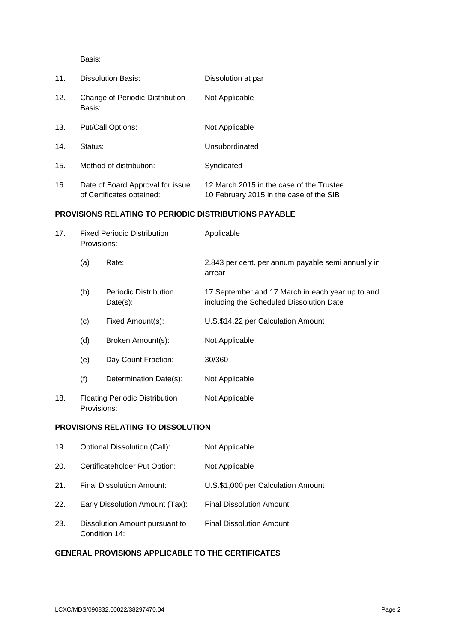Basis:

| 11. | <b>Dissolution Basis:</b>                                     | Dissolution at par                                                                  |
|-----|---------------------------------------------------------------|-------------------------------------------------------------------------------------|
| 12. | Change of Periodic Distribution<br>Basis:                     | Not Applicable                                                                      |
| 13. | Put/Call Options:                                             | Not Applicable                                                                      |
| 14. | Status:                                                       | Unsubordinated                                                                      |
| 15. | Method of distribution:                                       | Syndicated                                                                          |
| 16. | Date of Board Approval for issue<br>of Certificates obtained: | 12 March 2015 in the case of the Trustee<br>10 February 2015 in the case of the SIB |

## **PROVISIONS RELATING TO PERIODIC DISTRIBUTIONS PAYABLE**

| 17. | <b>Fixed Periodic Distribution</b><br>Provisions:    |                                      | Applicable                                                                                   |
|-----|------------------------------------------------------|--------------------------------------|----------------------------------------------------------------------------------------------|
|     | (a)                                                  | Rate:                                | 2.843 per cent. per annum payable semi annually in<br>arrear                                 |
|     | (b)                                                  | Periodic Distribution<br>$Date(s)$ : | 17 September and 17 March in each year up to and<br>including the Scheduled Dissolution Date |
|     | (c)                                                  | Fixed Amount(s):                     | U.S.\$14.22 per Calculation Amount                                                           |
|     | (d)                                                  | Broken Amount(s):                    | Not Applicable                                                                               |
|     | (e)                                                  | Day Count Fraction:                  | 30/360                                                                                       |
|     | (f)                                                  | Determination Date(s):               | Not Applicable                                                                               |
| 18. | <b>Floating Periodic Distribution</b><br>Provisions: |                                      | Not Applicable                                                                               |

#### **PROVISIONS RELATING TO DISSOLUTION**

| 19. | <b>Optional Dissolution (Call):</b>             | Not Applicable                     |
|-----|-------------------------------------------------|------------------------------------|
| 20. | Certificateholder Put Option:                   | Not Applicable                     |
| 21. | Final Dissolution Amount:                       | U.S.\$1,000 per Calculation Amount |
| 22. | Early Dissolution Amount (Tax):                 | <b>Final Dissolution Amount</b>    |
| 23. | Dissolution Amount pursuant to<br>Condition 14: | <b>Final Dissolution Amount</b>    |

# **GENERAL PROVISIONS APPLICABLE TO THE CERTIFICATES**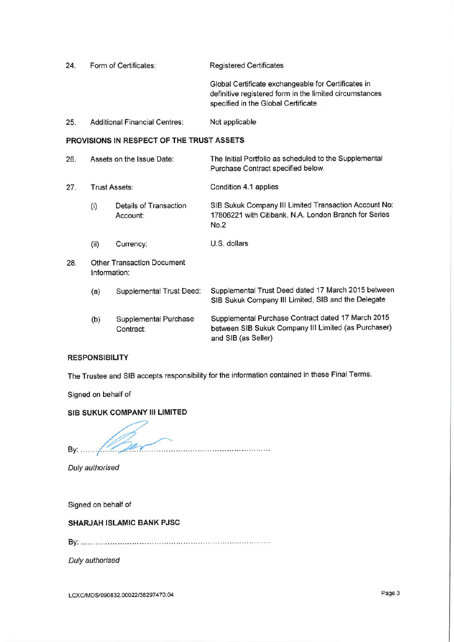| 24. |                                           | Form of Certificates:                     | <b>Registered Certificates</b>                                                                                                                        |
|-----|-------------------------------------------|-------------------------------------------|-------------------------------------------------------------------------------------------------------------------------------------------------------|
|     |                                           |                                           | Global Certificate exchangeable for Certificates in<br>definitive registered form in the limited circumstances<br>specified in the Global Certificate |
| 25. |                                           | <b>Additional Financial Centres:</b>      | Not applicable                                                                                                                                        |
|     | PROVISIONS IN RESPECT OF THE TRUST ASSETS |                                           |                                                                                                                                                       |
| 26. | Assets on the Issue Date:                 |                                           | The Initial Portfolio as scheduled to the Supplemental<br>Purchase Contract specified below.                                                          |
| 27. | Trust Assets:                             |                                           | Condition 4.1 applies                                                                                                                                 |
|     | (i)                                       | Details of Transaction<br>Account:        | SIB Sukuk Company III Limited Transaction Account No:<br>17806221 with Citibank, N.A. London Branch for Series<br>No.2                                |
|     | (ii)                                      | Currency:                                 | U.S. dollars                                                                                                                                          |
| 28. | Information:                              | <b>Other Transaction Document</b>         |                                                                                                                                                       |
|     | (a)                                       | Supplemental Trust Deed:                  | Supplemental Trust Deed dated 17 March 2015 between<br>SIB Sukuk Company III Limited, SIB and the Delegate                                            |
|     | (b)                                       | <b>Supplemental Purchase</b><br>Contract: | Supplemental Purchase Contract dated 17 March 2015<br>between SIB Sukuk Company III Limited (as Purchaser)<br>and SIB (as Seller)                     |

# **RESPONSIBILITY**

The Trustee and SIB accepts responsibility for the information contained in these Final Terms.

Signed on behalf of

## SIB SUKUK COMPANY III LIMITED

By  $\frac{1}{\sqrt{2}}$ 

Duly authorised

Signed on behalf of

## SHARJAH ISLAMIC BANK PJSC

Duly authorised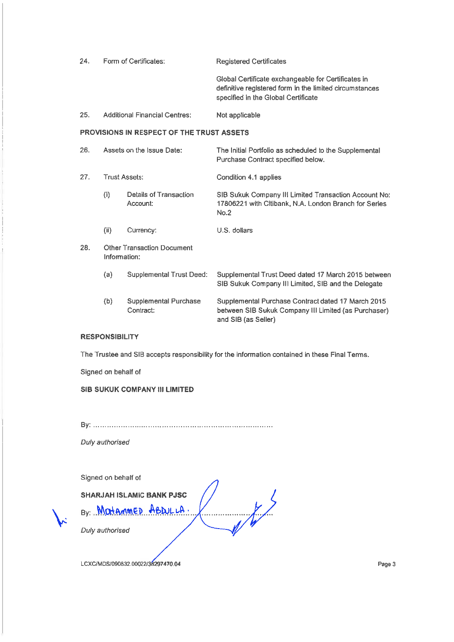| 24.                                              |                           | Form of Certificates:                | <b>Registered Certificates</b>                                                                                                                        |
|--------------------------------------------------|---------------------------|--------------------------------------|-------------------------------------------------------------------------------------------------------------------------------------------------------|
|                                                  |                           |                                      | Global Certificate exchangeable for Certificates in<br>definitive registered form in the limited circumstances<br>specified in the Global Certificate |
| 25.                                              |                           | <b>Additional Financial Centres:</b> | Not applicable                                                                                                                                        |
| <b>PROVISIONS IN RESPECT OF THE TRUST ASSETS</b> |                           |                                      |                                                                                                                                                       |
| 26.                                              | Assets on the Issue Date: |                                      | The Initial Portfolio as scheduled to the Supplemental<br>Purchase Contract specified below.                                                          |
| 27.                                              | <b>Trust Assets:</b>      |                                      | Condition 4.1 applies                                                                                                                                 |
|                                                  | (i)                       | Details of Transaction<br>Account:   | SIB Sukuk Company III Limited Transaction Account No:<br>17806221 with Citibank, N.A. London Branch for Series<br>No.2                                |
|                                                  | (ii)                      | Currency:                            | U.S. dollars                                                                                                                                          |
| 28.                                              | Information:              | <b>Other Transaction Document</b>    |                                                                                                                                                       |
|                                                  | (a)                       | <b>Supplemental Trust Deed:</b>      | Supplemental Trust Deed dated 17 March 2015 between<br>SIB Sukuk Company III Limited, SIB and the Delegate                                            |
|                                                  | (b)                       | Supplemental Purchase<br>Contract:   | Supplemental Purchase Contract dated 17 March 2015<br>between SIB Sukuk Company III Limited (as Purchaser)<br>and SIB (as Seller)                     |

#### **RESPONSIBILITY**

The Trustee and SIB accepts responsibility for the information contained in these Final Terms.

, , , , , , , , , , , , , , , , , , , ,

Signed on behalf of

SIB SUKUK COMPANY III LIMITED

Duly authorised

Signed on behalf of

**SHARJAH ISLAMIC BANK PJSC** 

By: Matammer ABDULLA.

Duly authorised

LCXC/MDS/090832.00022/38297470.04

Page 3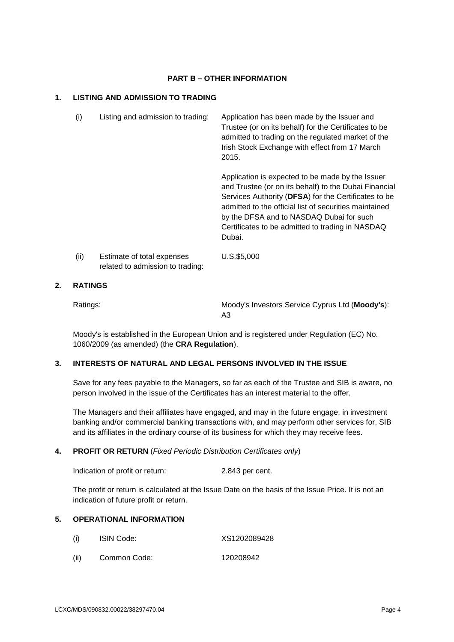#### **PART B – OTHER INFORMATION**

## **1. LISTING AND ADMISSION TO TRADING**

| (i)  | Listing and admission to trading:                              | Application has been made by the Issuer and<br>Trustee (or on its behalf) for the Certificates to be<br>admitted to trading on the regulated market of the<br>Irish Stock Exchange with effect from 17 March<br>2015.                                                                                                                 |
|------|----------------------------------------------------------------|---------------------------------------------------------------------------------------------------------------------------------------------------------------------------------------------------------------------------------------------------------------------------------------------------------------------------------------|
|      |                                                                | Application is expected to be made by the Issuer<br>and Trustee (or on its behalf) to the Dubai Financial<br>Services Authority (DFSA) for the Certificates to be<br>admitted to the official list of securities maintained<br>by the DFSA and to NASDAQ Dubai for such<br>Certificates to be admitted to trading in NASDAQ<br>Dubai. |
| (ii) | Estimate of total expenses<br>related to admission to trading: | U.S.\$5,000                                                                                                                                                                                                                                                                                                                           |

## **2. RATINGS**

Ratings: Moody's Investors Service Cyprus Ltd (**Moody's**): A3

Moody's is established in the European Union and is registered under Regulation (EC) No. 1060/2009 (as amended) (the **CRA Regulation**).

# **3. INTERESTS OF NATURAL AND LEGAL PERSONS INVOLVED IN THE ISSUE**

Save for any fees payable to the Managers, so far as each of the Trustee and SIB is aware, no person involved in the issue of the Certificates has an interest material to the offer.

The Managers and their affiliates have engaged, and may in the future engage, in investment banking and/or commercial banking transactions with, and may perform other services for, SIB and its affiliates in the ordinary course of its business for which they may receive fees.

## **4. PROFIT OR RETURN** (*Fixed Periodic Distribution Certificates only*)

Indication of profit or return: 2.843 per cent.

The profit or return is calculated at the Issue Date on the basis of the Issue Price. It is not an indication of future profit or return.

## **5. OPERATIONAL INFORMATION**

- (i) ISIN Code: XS1202089428
- (ii) Common Code: 120208942